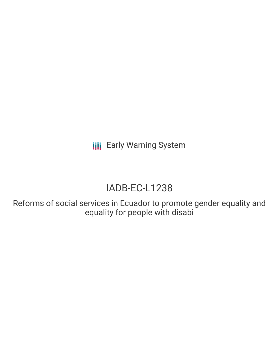# IADB-EC-L1238

Reforms of social services in Ecuador to promote gender equality and equality for people with disabi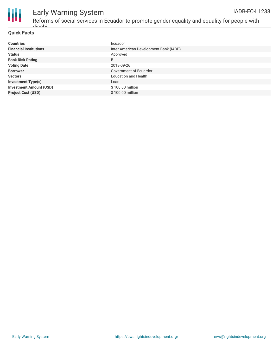

Reforms of social services in Ecuador to promote gender equality and equality for people with disabi

#### **Quick Facts**

| <b>Countries</b>               | Ecuador                                |
|--------------------------------|----------------------------------------|
| <b>Financial Institutions</b>  | Inter-American Development Bank (IADB) |
| <b>Status</b>                  | Approved                               |
| <b>Bank Risk Rating</b>        | B                                      |
| <b>Voting Date</b>             | 2018-09-26                             |
| <b>Borrower</b>                | Government of Ecuardor                 |
| <b>Sectors</b>                 | <b>Education and Health</b>            |
| <b>Investment Type(s)</b>      | Loan                                   |
| <b>Investment Amount (USD)</b> | \$100.00 million                       |
| <b>Project Cost (USD)</b>      | \$100.00 million                       |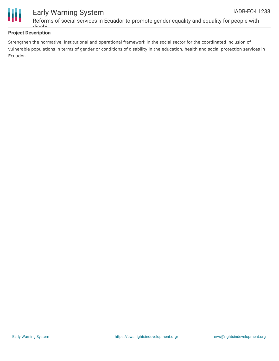

Reforms of social services in Ecuador to promote gender equality and equality for people with disabi

#### **Project Description**

Strengthen the normative, institutional and operational framework in the social sector for the coordinated inclusion of vulnerable populations in terms of gender or conditions of disability in the education, health and social protection services in Ecuador.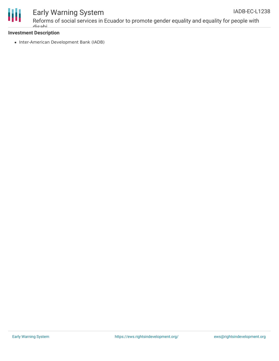

Reforms of social services in Ecuador to promote gender equality and equality for people with disabi

#### **Investment Description**

• Inter-American Development Bank (IADB)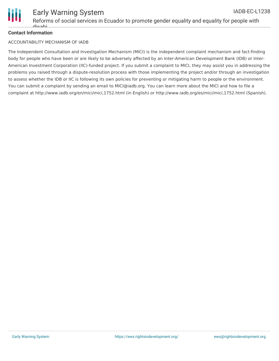

#### Early Warning System IADB-EC-L1238

Reforms of social services in Ecuador to promote gender equality and equality for people with dinabi

#### **Contact Information**

#### ACCOUNTABILITY MECHANISM OF IADB

The Independent Consultation and Investigation Mechanism (MICI) is the independent complaint mechanism and fact-finding body for people who have been or are likely to be adversely affected by an Inter-American Development Bank (IDB) or Inter-American Investment Corporation (IIC)-funded project. If you submit a complaint to MICI, they may assist you in addressing the problems you raised through a dispute-resolution process with those implementing the project and/or through an investigation to assess whether the IDB or IIC is following its own policies for preventing or mitigating harm to people or the environment. You can submit a complaint by sending an email to MICI@iadb.org. You can learn more about the MICI and how to file a complaint at http://www.iadb.org/en/mici/mici,1752.html (in English) or http://www.iadb.org/es/mici/mici,1752.html (Spanish).